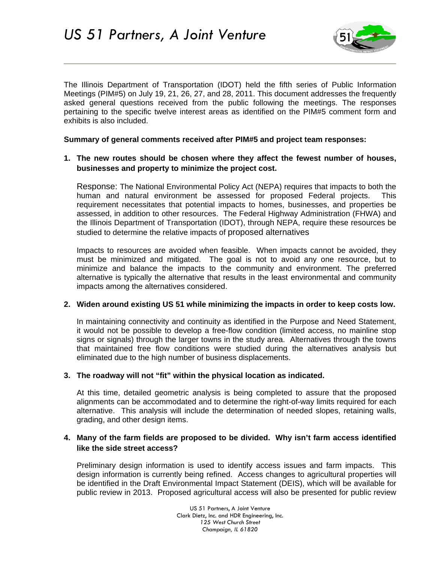

The Illinois Department of Transportation (IDOT) held the fifth series of Public Information Meetings (PIM#5) on July 19, 21, 26, 27, and 28, 2011. This document addresses the frequently asked general questions received from the public following the meetings. The responses pertaining to the specific twelve interest areas as identified on the PIM#5 comment form and exhibits is also included.

**Summary of general comments received after PIM#5 and project team responses:** 

# **1. The new routes should be chosen where they affect the fewest number of houses, businesses and property to minimize the project cost.**

Response: The National Environmental Policy Act (NEPA) requires that impacts to both the human and natural environment be assessed for proposed Federal projects. This requirement necessitates that potential impacts to homes, businesses, and properties be assessed, in addition to other resources. The Federal Highway Administration (FHWA) and the Illinois Department of Transportation (IDOT), through NEPA, require these resources be studied to determine the relative impacts of proposed alternatives

Impacts to resources are avoided when feasible. When impacts cannot be avoided, they must be minimized and mitigated. The goal is not to avoid any one resource, but to minimize and balance the impacts to the community and environment. The preferred alternative is typically the alternative that results in the least environmental and community impacts among the alternatives considered.

## **2. Widen around existing US 51 while minimizing the impacts in order to keep costs low.**

In maintaining connectivity and continuity as identified in the Purpose and Need Statement, it would not be possible to develop a free-flow condition (limited access, no mainline stop signs or signals) through the larger towns in the study area. Alternatives through the towns that maintained free flow conditions were studied during the alternatives analysis but eliminated due to the high number of business displacements.

## **3. The roadway will not "fit" within the physical location as indicated.**

At this time, detailed geometric analysis is being completed to assure that the proposed alignments can be accommodated and to determine the right-of-way limits required for each alternative. This analysis will include the determination of needed slopes, retaining walls, grading, and other design items.

## **4. Many of the farm fields are proposed to be divided. Why isn't farm access identified like the side street access?**

Preliminary design information is used to identify access issues and farm impacts. This design information is currently being refined. Access changes to agricultural properties will be identified in the Draft Environmental Impact Statement (DEIS), which will be available for public review in 2013. Proposed agricultural access will also be presented for public review

> US 51 Partners, A Joint Venture Clark Dietz, Inc. and HDR Engineering, Inc. *125 West Church Street Champaign, IL 61820*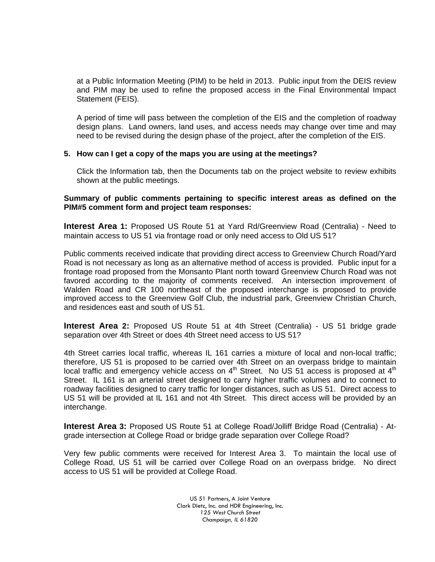at a Public Information Meeting (PIM) to be held in 2013. Public input from the DEIS review and PIM may be used to refine the proposed access in the Final Environmental Impact Statement (FEIS).

A period of time will pass between the completion of the EIS and the completion of roadway design plans. Land owners, land uses, and access needs may change over time and may need to be revised during the design phase of the project, after the completion of the EIS.

### **5. How can I get a copy of the maps you are using at the meetings?**

Click the Information tab, then the Documents tab on the project website to review exhibits shown at the public meetings.

### **Summary of public comments pertaining to specific interest areas as defined on the PIM#5 comment form and project team responses:**

**Interest Area 1:** Proposed US Route 51 at Yard Rd/Greenview Road (Centralia) - Need to maintain access to US 51 via frontage road or only need access to Old US 51?

Public comments received indicate that providing direct access to Greenview Church Road/Yard Road is not necessary as long as an alternative method of access is provided. Public input for a frontage road proposed from the Monsanto Plant north toward Greenview Church Road was not favored according to the majority of comments received. An intersection improvement of Walden Road and CR 100 northeast of the proposed interchange is proposed to provide improved access to the Greenview Golf Club, the industrial park, Greenview Christian Church, and residences east and south of US 51.

**Interest Area 2:** Proposed US Route 51 at 4th Street (Centralia) - US 51 bridge grade separation over 4th Street or does 4th Street need access to US 51?

4th Street carries local traffic, whereas IL 161 carries a mixture of local and non-local traffic; therefore, US 51 is proposed to be carried over 4th Street on an overpass bridge to maintain local traffic and emergency vehicle access on  $4<sup>th</sup>$  Street. No US 51 access is proposed at  $4<sup>th</sup>$ Street. IL 161 is an arterial street designed to carry higher traffic volumes and to connect to roadway facilities designed to carry traffic for longer distances, such as US 51. Direct access to US 51 will be provided at IL 161 and not 4th Street. This direct access will be provided by an interchange.

**Interest Area 3:** Proposed US Route 51 at College Road/Jolliff Bridge Road (Centralia) - Atgrade intersection at College Road or bridge grade separation over College Road?

Very few public comments were received for Interest Area 3. To maintain the local use of College Road, US 51 will be carried over College Road on an overpass bridge. No direct access to US 51 will be provided at College Road.

> US 51 Partners, A Joint Venture Clark Dietz, Inc. and HDR Engineering, Inc. *125 West Church Street Champaign, IL 61820*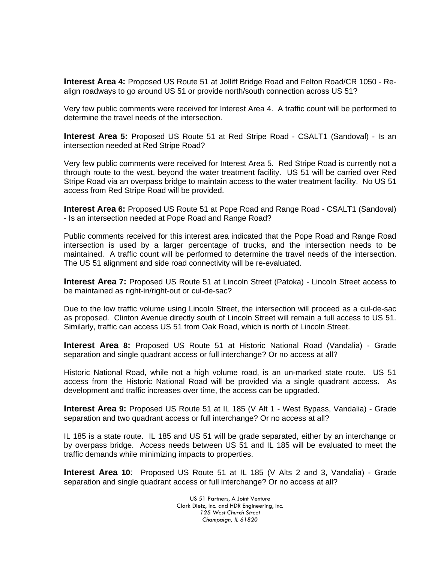**Interest Area 4:** Proposed US Route 51 at Jolliff Bridge Road and Felton Road/CR 1050 - Realign roadways to go around US 51 or provide north/south connection across US 51?

Very few public comments were received for Interest Area 4. A traffic count will be performed to determine the travel needs of the intersection.

**Interest Area 5:** Proposed US Route 51 at Red Stripe Road - CSALT1 (Sandoval) - Is an intersection needed at Red Stripe Road?

Very few public comments were received for Interest Area 5. Red Stripe Road is currently not a through route to the west, beyond the water treatment facility. US 51 will be carried over Red Stripe Road via an overpass bridge to maintain access to the water treatment facility. No US 51 access from Red Stripe Road will be provided.

**Interest Area 6:** Proposed US Route 51 at Pope Road and Range Road - CSALT1 (Sandoval) - Is an intersection needed at Pope Road and Range Road?

Public comments received for this interest area indicated that the Pope Road and Range Road intersection is used by a larger percentage of trucks, and the intersection needs to be maintained. A traffic count will be performed to determine the travel needs of the intersection. The US 51 alignment and side road connectivity will be re-evaluated.

**Interest Area 7:** Proposed US Route 51 at Lincoln Street (Patoka) - Lincoln Street access to be maintained as right-in/right-out or cul-de-sac?

Due to the low traffic volume using Lincoln Street, the intersection will proceed as a cul-de-sac as proposed. Clinton Avenue directly south of Lincoln Street will remain a full access to US 51. Similarly, traffic can access US 51 from Oak Road, which is north of Lincoln Street.

**Interest Area 8:** Proposed US Route 51 at Historic National Road (Vandalia) - Grade separation and single quadrant access or full interchange? Or no access at all?

Historic National Road, while not a high volume road, is an un-marked state route. US 51 access from the Historic National Road will be provided via a single quadrant access. As development and traffic increases over time, the access can be upgraded.

**Interest Area 9:** Proposed US Route 51 at IL 185 (V Alt 1 - West Bypass, Vandalia) - Grade separation and two quadrant access or full interchange? Or no access at all?

IL 185 is a state route. IL 185 and US 51 will be grade separated, either by an interchange or by overpass bridge. Access needs between US 51 and IL 185 will be evaluated to meet the traffic demands while minimizing impacts to properties.

**Interest Area 10**: Proposed US Route 51 at IL 185 (V Alts 2 and 3, Vandalia) - Grade separation and single quadrant access or full interchange? Or no access at all?